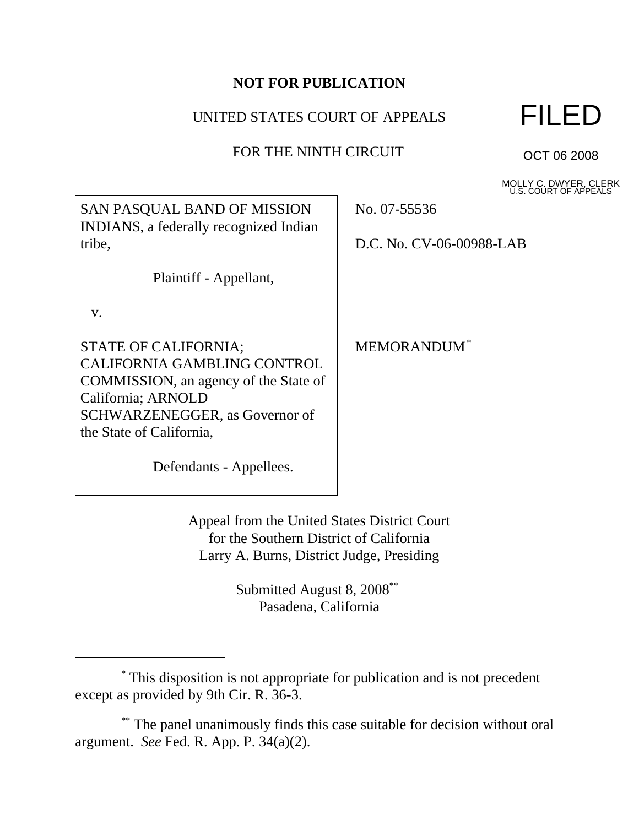## **NOT FOR PUBLICATION**

## UNITED STATES COURT OF APPEALS

FOR THE NINTH CIRCUIT

٦



OCT 06 2008

MOLLY C. DWYER, CLERK U.S. COURT OF APPEALS

| SAN PASQUAL BAND OF MISSION<br>INDIANS, a federally recognized Indian                                                                                                            | No. 07-55536             |
|----------------------------------------------------------------------------------------------------------------------------------------------------------------------------------|--------------------------|
| tribe,                                                                                                                                                                           | D.C. No. CV-06-00988-LAB |
| Plaintiff - Appellant,                                                                                                                                                           |                          |
| V.                                                                                                                                                                               |                          |
| STATE OF CALIFORNIA;<br>CALIFORNIA GAMBLING CONTROL<br>COMMISSION, an agency of the State of<br>California; ARNOLD<br>SCHWARZENEGGER, as Governor of<br>the State of California, | <b>MEMORANDUM</b> *      |
| Defendants - Appellees.                                                                                                                                                          |                          |
|                                                                                                                                                                                  |                          |

Appeal from the United States District Court for the Southern District of California Larry A. Burns, District Judge, Presiding

> Submitted August 8, 2008\*\* Pasadena, California

\*\* The panel unanimously finds this case suitable for decision without oral argument. *See* Fed. R. App. P. 34(a)(2).

 <sup>\*</sup> This disposition is not appropriate for publication and is not precedent except as provided by 9th Cir. R. 36-3.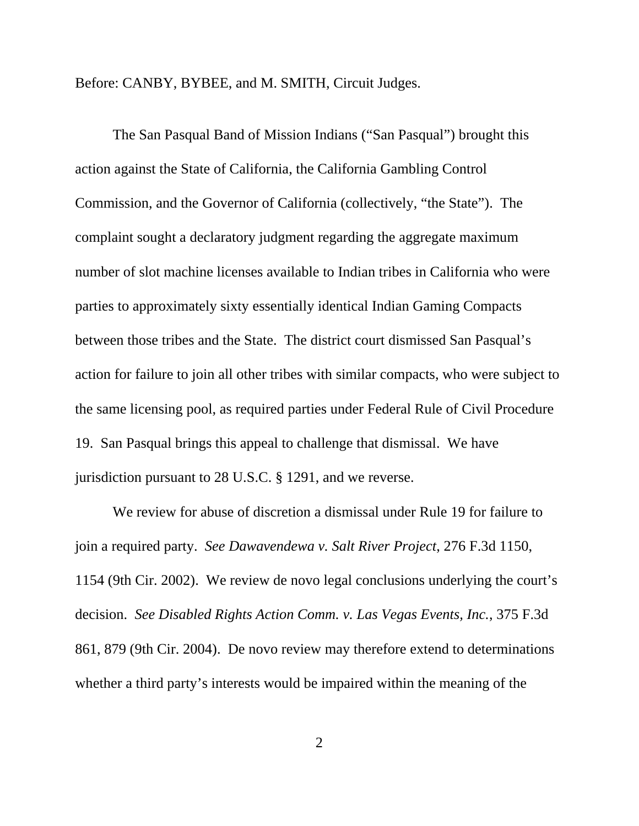Before: CANBY, BYBEE, and M. SMITH, Circuit Judges.

The San Pasqual Band of Mission Indians ("San Pasqual") brought this action against the State of California, the California Gambling Control Commission, and the Governor of California (collectively, "the State"). The complaint sought a declaratory judgment regarding the aggregate maximum number of slot machine licenses available to Indian tribes in California who were parties to approximately sixty essentially identical Indian Gaming Compacts between those tribes and the State. The district court dismissed San Pasqual's action for failure to join all other tribes with similar compacts, who were subject to the same licensing pool, as required parties under Federal Rule of Civil Procedure 19. San Pasqual brings this appeal to challenge that dismissal. We have jurisdiction pursuant to 28 U.S.C. § 1291, and we reverse.

We review for abuse of discretion a dismissal under Rule 19 for failure to join a required party. *See Dawavendewa v. Salt River Project*, 276 F.3d 1150, 1154 (9th Cir. 2002). We review de novo legal conclusions underlying the court's decision. *See Disabled Rights Action Comm. v. Las Vegas Events, Inc.*, 375 F.3d 861, 879 (9th Cir. 2004). De novo review may therefore extend to determinations whether a third party's interests would be impaired within the meaning of the